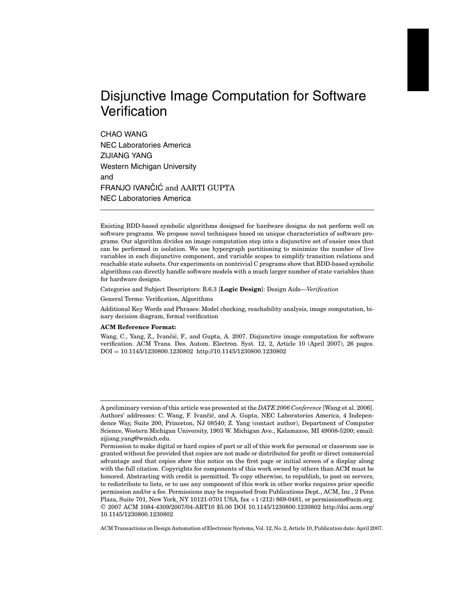# Disjunctive Image Computation for Software **Verification**

CHAO WANG NEC Laboratories America ZIJIANG YANG Western Michigan University and FRANJO IVANČIĆ and AARTI GUPTA NEC Laboratories America

Existing BDD-based symbolic algorithms designed for hardware designs do not perform well on software programs. We propose novel techniques based on unique characteristics of software programs. Our algorithm divides an image computation step into a disjunctive set of easier ones that can be performed in isolation. We use hypergraph partitioning to minimize the number of live variables in each disjunctive component, and variable scopes to simplify transition relations and reachable state subsets. Our experiments on nontrivial C programs show that BDD-based symbolic algorithms can directly handle software models with a much larger number of state variables than for hardware designs.

Categories and Subject Descriptors: B.6.3 [**Logic Design**]: Design Aids—*Verification*

General Terms: Verification, Algorithms

Additional Key Words and Phrases: Model checking, reachability analysis, image computation, binary decision diagram, formal verification

#### **ACM Reference Format:**

Wang, C., Yang, Z., Ivančić, F., and Gupta, A. 2007. Disjunctive image computation for software verification. ACM Trans. Des. Autom. Electron. Syst. 12, 2, Article 10 (April 2007), 26 pages. DOI = 10.1145/1230800.1230802 http://10.1145/1230800.1230802

A preliminary version of this article was presented at the *DATE 2006 Conference* [Wang et al. 2006]. Authors' addresses: C. Wang, F. Ivančić, and A. Gupta, NEC Laboratories America, 4 Independence Way, Suite 200, Princeton, NJ 08540; Z. Yang (contact author), Department of Computer Science, Western Michigan University, 1903 W. Michigan Ave., Kalamazoo, MI 49008-5200; email: zijiang.yang@wmich.edu.

Permission to make digital or hard copies of part or all of this work for personal or classroom use is granted without fee provided that copies are not made or distributed for profit or direct commercial advantage and that copies show this notice on the first page or initial screen of a display along with the full citation. Copyrights for components of this work owned by others than ACM must be honored. Abstracting with credit is permitted. To copy otherwise, to republish, to post on servers, to redistribute to lists, or to use any component of this work in other works requires prior specific permission and/or a fee. Permissions may be requested from Publications Dept., ACM, Inc., 2 Penn Plaza, Suite 701, New York, NY 10121-0701 USA, fax +1 (212) 869-0481, or permissions@acm.org. © 2007 ACM 1084-4309/2007/04-ART10 \$5.00 DOI 10.1145/1230800.1230802 http://doi.acm.org/ 10.1145/1230800.1230802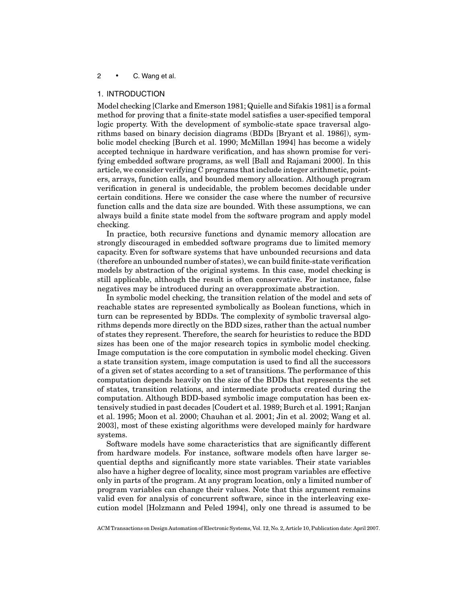# 1. INTRODUCTION

Model checking [Clarke and Emerson 1981; Quielle and Sifakis 1981] is a formal method for proving that a finite-state model satisfies a user-specified temporal logic property. With the development of symbolic-state space traversal algorithms based on binary decision diagrams (BDDs [Bryant et al. 1986]), symbolic model checking [Burch et al. 1990; McMillan 1994] has become a widely accepted technique in hardware verification, and has shown promise for verifying embedded software programs, as well [Ball and Rajamani 2000]. In this article, we consider verifying C programs that include integer arithmetic, pointers, arrays, function calls, and bounded memory allocation. Although program verification in general is undecidable, the problem becomes decidable under certain conditions. Here we consider the case where the number of recursive function calls and the data size are bounded. With these assumptions, we can always build a finite state model from the software program and apply model checking.

In practice, both recursive functions and dynamic memory allocation are strongly discouraged in embedded software programs due to limited memory capacity. Even for software systems that have unbounded recursions and data (therefore an unbounded number of states), we can build finite-state verification models by abstraction of the original systems. In this case, model checking is still applicable, although the result is often conservative. For instance, false negatives may be introduced during an overapproximate abstraction.

In symbolic model checking, the transition relation of the model and sets of reachable states are represented symbolically as Boolean functions, which in turn can be represented by BDDs. The complexity of symbolic traversal algorithms depends more directly on the BDD sizes, rather than the actual number of states they represent. Therefore, the search for heuristics to reduce the BDD sizes has been one of the major research topics in symbolic model checking. Image computation is the core computation in symbolic model checking. Given a state transition system, image computation is used to find all the successors of a given set of states according to a set of transitions. The performance of this computation depends heavily on the size of the BDDs that represents the set of states, transition relations, and intermediate products created during the computation. Although BDD-based symbolic image computation has been extensively studied in past decades [Coudert et al. 1989; Burch et al. 1991; Ranjan et al. 1995; Moon et al. 2000; Chauhan et al. 2001; Jin et al. 2002; Wang et al. 2003], most of these existing algorithms were developed mainly for hardware systems.

Software models have some characteristics that are significantly different from hardware models. For instance, software models often have larger sequential depths and significantly more state variables. Their state variables also have a higher degree of locality, since most program variables are effective only in parts of the program. At any program location, only a limited number of program variables can change their values. Note that this argument remains valid even for analysis of concurrent software, since in the interleaving execution model [Holzmann and Peled 1994], only one thread is assumed to be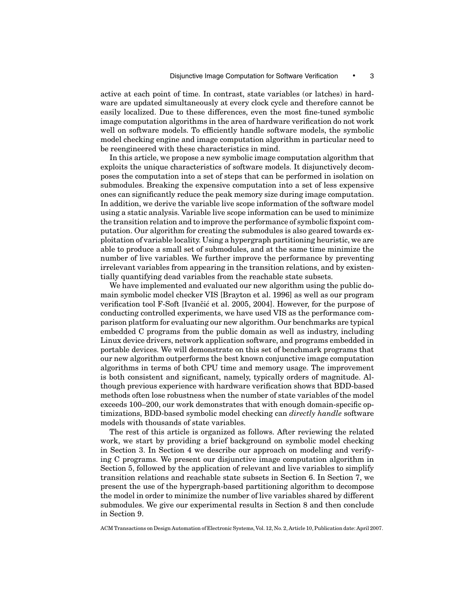active at each point of time. In contrast, state variables (or latches) in hardware are updated simultaneously at every clock cycle and therefore cannot be easily localized. Due to these differences, even the most fine-tuned symbolic image computation algorithms in the area of hardware verification do not work well on software models. To efficiently handle software models, the symbolic model checking engine and image computation algorithm in particular need to be reengineered with these characteristics in mind.

In this article, we propose a new symbolic image computation algorithm that exploits the unique characteristics of software models. It disjunctively decomposes the computation into a set of steps that can be performed in isolation on submodules. Breaking the expensive computation into a set of less expensive ones can significantly reduce the peak memory size during image computation. In addition, we derive the variable live scope information of the software model using a static analysis. Variable live scope information can be used to minimize the transition relation and to improve the performance of symbolic fixpoint computation. Our algorithm for creating the submodules is also geared towards exploitation of variable locality. Using a hypergraph partitioning heuristic, we are able to produce a small set of submodules, and at the same time minimize the number of live variables. We further improve the performance by preventing irrelevant variables from appearing in the transition relations, and by existentially quantifying dead variables from the reachable state subsets.

We have implemented and evaluated our new algorithm using the public domain symbolic model checker VIS [Brayton et al. 1996] as well as our program verification tool F-Soft [Ivančić et al. 2005, 2004]. However, for the purpose of conducting controlled experiments, we have used VIS as the performance comparison platform for evaluating our new algorithm. Our benchmarks are typical embedded C programs from the public domain as well as industry, including Linux device drivers, network application software, and programs embedded in portable devices. We will demonstrate on this set of benchmark programs that our new algorithm outperforms the best known conjunctive image computation algorithms in terms of both CPU time and memory usage. The improvement is both consistent and significant, namely, typically orders of magnitude. Although previous experience with hardware verification shows that BDD-based methods often lose robustness when the number of state variables of the model exceeds 100–200, our work demonstrates that with enough domain-specific optimizations, BDD-based symbolic model checking can *directly handle* software models with thousands of state variables.

The rest of this article is organized as follows. After reviewing the related work, we start by providing a brief background on symbolic model checking in Section 3. In Section 4 we describe our approach on modeling and verifying C programs. We present our disjunctive image computation algorithm in Section 5, followed by the application of relevant and live variables to simplify transition relations and reachable state subsets in Section 6. In Section 7, we present the use of the hypergraph-based partitioning algorithm to decompose the model in order to minimize the number of live variables shared by different submodules. We give our experimental results in Section 8 and then conclude in Section 9.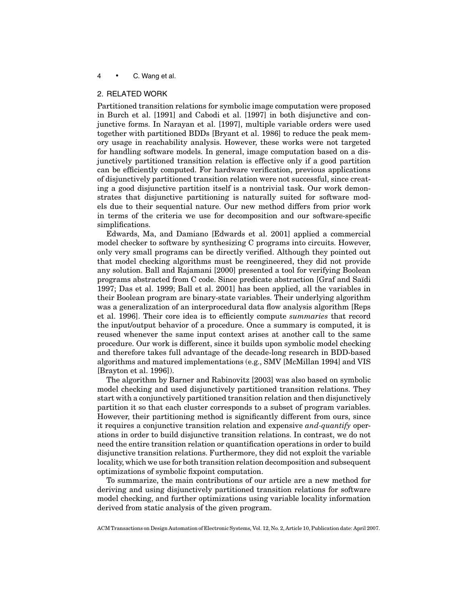# 2. RELATED WORK

Partitioned transition relations for symbolic image computation were proposed in Burch et al. [1991] and Cabodi et al. [1997] in both disjunctive and conjunctive forms. In Narayan et al. [1997], multiple variable orders were used together with partitioned BDDs [Bryant et al. 1986] to reduce the peak memory usage in reachability analysis. However, these works were not targeted for handling software models. In general, image computation based on a disjunctively partitioned transition relation is effective only if a good partition can be efficiently computed. For hardware verification, previous applications of disjunctively partitioned transition relation were not successful, since creating a good disjunctive partition itself is a nontrivial task. Our work demonstrates that disjunctive partitioning is naturally suited for software models due to their sequential nature. Our new method differs from prior work in terms of the criteria we use for decomposition and our software-specific simplifications.

Edwards, Ma, and Damiano [Edwards et al. 2001] applied a commercial model checker to software by synthesizing C programs into circuits. However, only very small programs can be directly verified. Although they pointed out that model checking algorithms must be reengineered, they did not provide any solution. Ball and Rajamani [2000] presented a tool for verifying Boolean programs abstracted from C code. Since predicate abstraction [Graf and Sa¨ıdi 1997; Das et al. 1999; Ball et al. 2001] has been applied, all the variables in their Boolean program are binary-state variables. Their underlying algorithm was a generalization of an interprocedural data flow analysis algorithm [Reps et al. 1996]. Their core idea is to efficiently compute *summaries* that record the input/output behavior of a procedure. Once a summary is computed, it is reused whenever the same input context arises at another call to the same procedure. Our work is different, since it builds upon symbolic model checking and therefore takes full advantage of the decade-long research in BDD-based algorithms and matured implementations (e.g., SMV [McMillan 1994] and VIS [Brayton et al. 1996]).

The algorithm by Barner and Rabinovitz [2003] was also based on symbolic model checking and used disjunctively partitioned transition relations. They start with a conjunctively partitioned transition relation and then disjunctively partition it so that each cluster corresponds to a subset of program variables. However, their partitioning method is significantly different from ours, since it requires a conjunctive transition relation and expensive *and-quantify* operations in order to build disjunctive transition relations. In contrast, we do not need the entire transition relation or quantification operations in order to build disjunctive transition relations. Furthermore, they did not exploit the variable locality, which we use for both transition relation decomposition and subsequent optimizations of symbolic fixpoint computation.

To summarize, the main contributions of our article are a new method for deriving and using disjunctively partitioned transition relations for software model checking, and further optimizations using variable locality information derived from static analysis of the given program.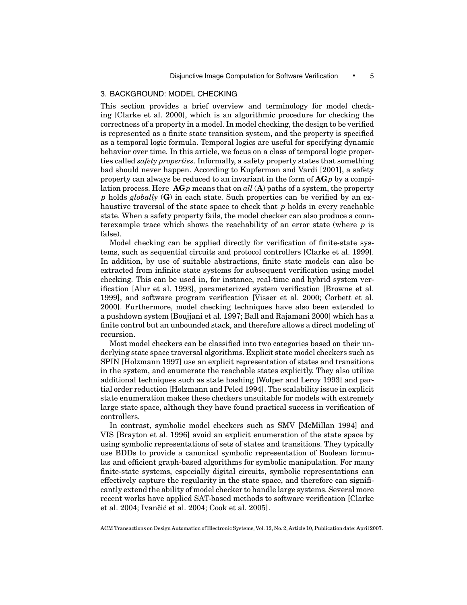# 3. BACKGROUND: MODEL CHECKING

This section provides a brief overview and terminology for model checking [Clarke et al. 2000], which is an algorithmic procedure for checking the correctness of a property in a model. In model checking, the design to be verified is represented as a finite state transition system, and the property is specified as a temporal logic formula. Temporal logics are useful for specifying dynamic behavior over time. In this article, we focus on a class of temporal logic properties called *safety properties*. Informally, a safety property states that something bad should never happen. According to Kupferman and Vardi [2001], a safety property can always be reduced to an invariant in the form of **AG***p* by a compilation process. Here **AG***p* means that on *all* (**A**) paths of a system, the property *p* holds *globally* (**G**) in each state. Such properties can be verified by an exhaustive traversal of the state space to check that *p* holds in every reachable state. When a safety property fails, the model checker can also produce a counterexample trace which shows the reachability of an error state (where *p* is false).

Model checking can be applied directly for verification of finite-state systems, such as sequential circuits and protocol controllers [Clarke et al. 1999]. In addition, by use of suitable abstractions, finite state models can also be extracted from infinite state systems for subsequent verification using model checking. This can be used in, for instance, real-time and hybrid system verification [Alur et al. 1993], parameterized system verification [Browne et al. 1999], and software program verification [Visser et al. 2000; Corbett et al. 2000]. Furthermore, model checking techniques have also been extended to a pushdown system [Boujjani et al. 1997; Ball and Rajamani 2000] which has a finite control but an unbounded stack, and therefore allows a direct modeling of recursion.

Most model checkers can be classified into two categories based on their underlying state space traversal algorithms. Explicit state model checkers such as SPIN [Holzmann 1997] use an explicit representation of states and transitions in the system, and enumerate the reachable states explicitly. They also utilize additional techniques such as state hashing [Wolper and Leroy 1993] and partial order reduction [Holzmann and Peled 1994]. The scalability issue in explicit state enumeration makes these checkers unsuitable for models with extremely large state space, although they have found practical success in verification of controllers.

In contrast, symbolic model checkers such as SMV [McMillan 1994] and VIS [Brayton et al. 1996] avoid an explicit enumeration of the state space by using symbolic representations of sets of states and transitions. They typically use BDDs to provide a canonical symbolic representation of Boolean formulas and efficient graph-based algorithms for symbolic manipulation. For many finite-state systems, especially digital circuits, symbolic representations can effectively capture the regularity in the state space, and therefore can significantly extend the ability of model checker to handle large systems. Several more recent works have applied SAT-based methods to software verification [Clarke et al. 2004; Ivančić et al. 2004; Cook et al. 2005].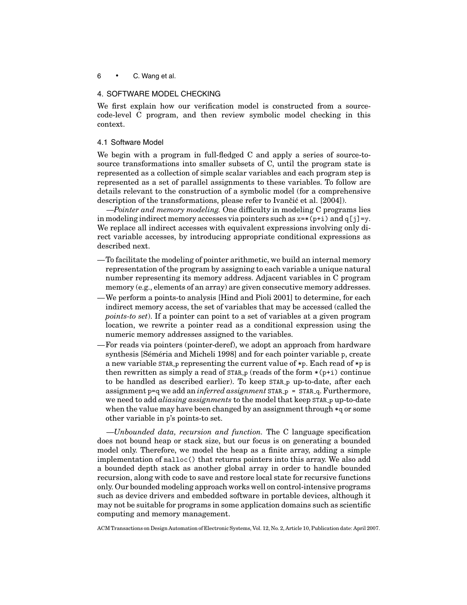# 4. SOFTWARE MODEL CHECKING

We first explain how our verification model is constructed from a sourcecode-level C program, and then review symbolic model checking in this context.

# 4.1 Software Model

We begin with a program in full-fledged C and apply a series of source-tosource transformations into smaller subsets of C, until the program state is represented as a collection of simple scalar variables and each program step is represented as a set of parallel assignments to these variables. To follow are details relevant to the construction of a symbolic model (for a comprehensive description of the transformations, please refer to Ivančić et al. [2004]).

—*Pointer and memory modeling.* One difficulty in modeling C programs lies in modeling indirect memory accesses via pointers such as  $x=*(p+i)$  and  $q[i]=y$ . We replace all indirect accesses with equivalent expressions involving only direct variable accesses, by introducing appropriate conditional expressions as described next.

- —To facilitate the modeling of pointer arithmetic, we build an internal memory representation of the program by assigning to each variable a unique natural number representing its memory address. Adjacent variables in C program memory (e.g., elements of an array) are given consecutive memory addresses.
- —We perform a points-to analysis [Hind and Pioli 2001] to determine, for each indirect memory access, the set of variables that may be accessed (called the *points-to set*). If a pointer can point to a set of variables at a given program location, we rewrite a pointer read as a conditional expression using the numeric memory addresses assigned to the variables.
- —For reads via pointers (pointer-deref), we adopt an approach from hardware synthesis [Séméria and Micheli 1998] and for each pointer variable p, create a new variable STAR p representing the current value of \*p. Each read of \*p is then rewritten as simply a read of  $STAR_p$  (reads of the form  $*(p+i)$  continue to be handled as described earlier). To keep STAR<sub>-P</sub> up-to-date, after each assignment p=q we add an *inferred assignment* STAR p = STAR q. Furthermore, we need to add *aliasing assignments* to the model that keep STAR<sub>-P</sub> up-to-date when the value may have been changed by an assignment through \*q or some other variable in p's points-to set.

—*Unbounded data, recursion and function.* The C language specification does not bound heap or stack size, but our focus is on generating a bounded model only. Therefore, we model the heap as a finite array, adding a simple implementation of malloc() that returns pointers into this array. We also add a bounded depth stack as another global array in order to handle bounded recursion, along with code to save and restore local state for recursive functions only. Our bounded modeling approach works well on control-intensive programs such as device drivers and embedded software in portable devices, although it may not be suitable for programs in some application domains such as scientific computing and memory management.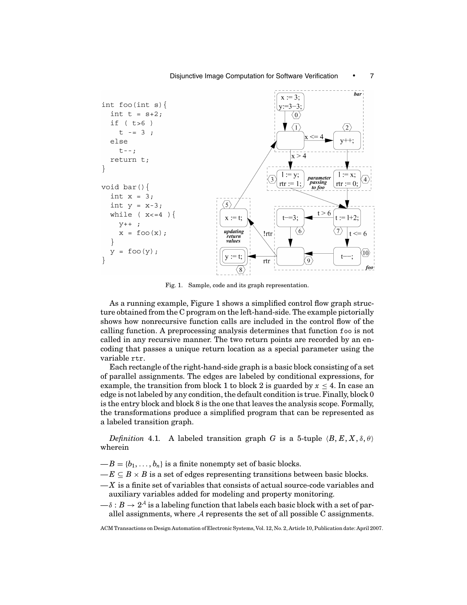

Fig. 1. Sample, code and its graph representation.

As a running example, Figure 1 shows a simplified control flow graph structure obtained from the C program on the left-hand-side. The example pictorially shows how nonrecursive function calls are included in the control flow of the calling function. A preprocessing analysis determines that function foo is not called in any recursive manner. The two return points are recorded by an encoding that passes a unique return location as a special parameter using the variable rtr.

Each rectangle of the right-hand-side graph is a basic block consisting of a set of parallel assignments. The edges are labeled by conditional expressions, for example, the transition from block 1 to block 2 is guarded by  $x < 4$ . In case an edge is not labeled by any condition, the default condition is true. Finally, block 0 is the entry block and block 8 is the one that leaves the analysis scope. Formally, the transformations produce a simplified program that can be represented as a labeled transition graph.

*Definition* 4.1. A labeled transition graph *G* is a 5-tuple  $\langle B, E, X, \delta, \theta \rangle$ wherein

- $-B = \{b_1, \ldots, b_n\}$  is a finite nonempty set of basic blocks.
- $-E \subseteq B \times B$  is a set of edges representing transitions between basic blocks.
- $-X$  is a finite set of variables that consists of actual source-code variables and auxiliary variables added for modeling and property monitoring.
- $-\delta : B \to 2^A$  is a labeling function that labels each basic block with a set of parallel assignments, where  $A$  represents the set of all possible C assignments.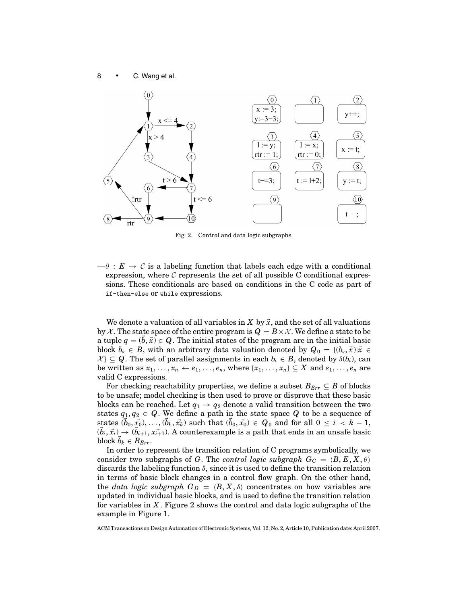

Fig. 2. Control and data logic subgraphs.

 $-\theta$ :  $E \rightarrow C$  is a labeling function that labels each edge with a conditional expression, where  $\mathcal C$  represents the set of all possible C conditional expressions. These conditionals are based on conditions in the C code as part of if-then-else or while expressions.

We denote a valuation of all variables in X by  $\vec{x}$ , and the set of all valuations by X. The state space of the entire program is  $Q = B \times X$ . We define a state to be a tuple  $q = (b, \vec{x}) \in Q$ . The initial states of the program are in the initial basic block  $b_s \in B$ , with an arbitrary data valuation denoted by  $Q_0 = \{(b_s, \vec{x}) | \vec{x} \in A \}$  $\mathcal{X} \subseteq Q$ . The set of parallel assignments in each  $b_i \in B$ , denoted by  $\delta(b_i)$ , can be written as  $x_1, \ldots, x_n \leftarrow e_1, \ldots, e_n$ , where  $\{x_1, \ldots, x_n\} \subseteq X$  and  $e_1, \ldots, e_n$  are valid C expressions.

For checking reachability properties, we define a subset  $B_{Err} \subseteq B$  of blocks to be unsafe; model checking is then used to prove or disprove that these basic blocks can be reached. Let  $q_1 \rightarrow q_2$  denote a valid transition between the two states  $q_1, q_2 \in Q$ . We define a path in the state space Q to be a sequence of states  $(b_0, \vec{x_0}), \ldots, (\vec{b}_k, \vec{x_k})$  such that  $(\vec{b}_0, \vec{x_0}) \in Q_0$  and for all  $0 \le i \le k - 1$ ,  $(\vec{b}_i, \vec{x}_i) \rightarrow (\vec{b}_{i+1}, \vec{x_{i+1}})$ . A counterexample is a path that ends in an unsafe basic block  $\bar{b}_k \in B_{Err}$ .

In order to represent the transition relation of C programs symbolically, we consider two subgraphs of *G*. The *control logic subgraph*  $G_C = \langle B, E, X, \theta \rangle$ discards the labeling function  $\delta$ , since it is used to define the transition relation in terms of basic block changes in a control flow graph. On the other hand, the *data logic subgraph*  $G_D = \langle B, X, \delta \rangle$  concentrates on how variables are updated in individual basic blocks, and is used to define the transition relation for variables in *X* . Figure 2 shows the control and data logic subgraphs of the example in Figure 1.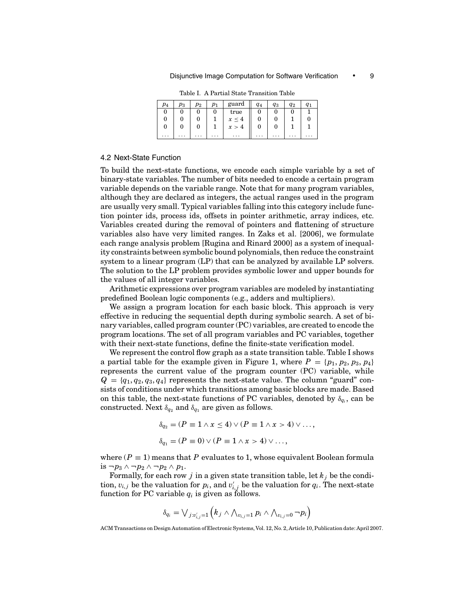#### Disjunctive Image Computation for Software Verification • 9

Table I. A Partial State Transition Table

| $p_4$    | p3       | $p_2$    | n, | guard |          | $q_3$    | a۰ |   |
|----------|----------|----------|----|-------|----------|----------|----|---|
|          |          |          |    | true  |          |          |    |   |
|          |          |          |    | x < 4 |          |          |    |   |
|          |          | U        |    | x > 4 |          |          |    |   |
| $\cdots$ | $\cdots$ | $\cdots$ | .  | .     | $\cdots$ | $\cdots$ | .  | . |

#### 4.2 Next-State Function

To build the next-state functions, we encode each simple variable by a set of binary-state variables. The number of bits needed to encode a certain program variable depends on the variable range. Note that for many program variables, although they are declared as integers, the actual ranges used in the program are usually very small. Typical variables falling into this category include function pointer ids, process ids, offsets in pointer arithmetic, array indices, etc. Variables created during the removal of pointers and flattening of structure variables also have very limited ranges. In Zaks et al. [2006], we formulate each range analysis problem [Rugina and Rinard 2000] as a system of inequality constraints between symbolic bound polynomials, then reduce the constraint system to a linear program (LP) that can be analyzed by available LP solvers. The solution to the LP problem provides symbolic lower and upper bounds for the values of all integer variables.

Arithmetic expressions over program variables are modeled by instantiating predefined Boolean logic components (e.g., adders and multipliers).

We assign a program location for each basic block. This approach is very effective in reducing the sequential depth during symbolic search. A set of binary variables, called program counter (PC) variables, are created to encode the program locations. The set of all program variables and PC variables, together with their next-state functions, define the finite-state verification model.

We represent the control flow graph as a state transition table. Table I shows a partial table for the example given in Figure 1, where  $P = \{p_1, p_2, p_3, p_4\}$ represents the current value of the program counter (PC) variable, while  $Q = \{q_1, q_2, q_3, q_4\}$  represents the next-state value. The column "guard" consists of conditions under which transitions among basic blocks are made. Based on this table, the next-state functions of PC variables, denoted by  $\delta_{q_i}$ , can be constructed. Next  $\delta_{q_2}$  and  $\delta_{q_1}$  are given as follows.

$$
\delta_{q_2} = (P \equiv 1 \land x \le 4) \lor (P \equiv 1 \land x > 4) \lor \dots,
$$
  

$$
\delta_{q_1} = (P \equiv 0) \lor (P \equiv 1 \land x > 4) \lor \dots,
$$

where  $(P \equiv 1)$  means that P evaluates to 1, whose equivalent Boolean formula is  $\neg p_3 \land \neg p_2 \land \neg p_2 \land p_1$ .

Formally, for each row *j* in a given state transition table, let  $k_j$  be the condi- $\mathbf{v}_{i,j}$  be the valuation for  $p_i$ , and  $v'_{i,j}$  be the valuation for  $q_i$ . The next-state function for PC variable  $q_i$  is given as follows.

$$
\delta_{q_i} = \bigvee_{j:v'_{i,j}=1} \left( k_j \wedge \bigwedge_{v_{i,j}=1} p_i \wedge \bigwedge_{v_{i,j}=0} \neg p_i \right)
$$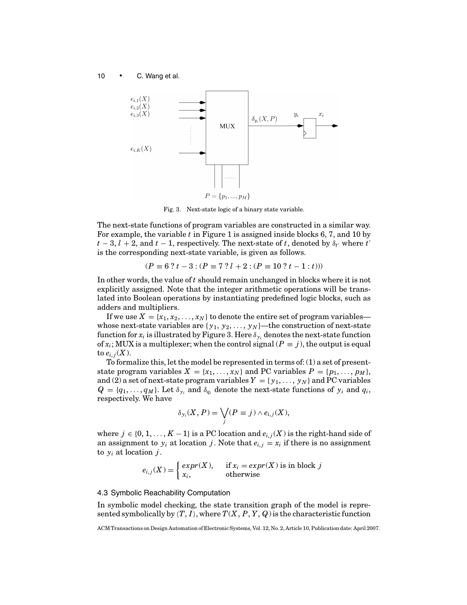

Fig. 3. Next-state logic of a binary state variable.

The next-state functions of program variables are constructed in a similar way. For example, the variable *t* in Figure 1 is assigned inside blocks 6, 7, and 10 by  $t-3$ ,  $l+2$ , and  $t-1$ , respectively. The next-state of *t*, denoted by  $\delta_{t'}$  where *t'* is the corresponding next-state variable, is given as follows.

$$
(P \equiv 6 ? t - 3 : (P \equiv 7 ? l + 2 : (P \equiv 10 ? t - 1 : t)))
$$

In other words, the value of *t* should remain unchanged in blocks where it is not explicitly assigned. Note that the integer arithmetic operations will be translated into Boolean operations by instantiating predefined logic blocks, such as adders and multipliers.

If we use  $X = \{x_1, x_2, \ldots, x_N\}$  to denote the entire set of program variables whose next-state variables are  $\{y_1, y_2, \ldots, y_N\}$ —the construction of next-state function for  $x_i$  is illustrated by Figure 3. Here  $\delta_{y_i}$  denotes the next-state function of  $x_i$ ; MUX is a multiplexer; when the control signal ( $P \equiv j$ ), the output is equal to  $e_{i,j}(X)$ .

To formalize this, let the model be represented in terms of: (1) a set of presentstate program variables  $X = \{x_1, \ldots, x_N\}$  and PC variables  $P = \{p_1, \ldots, p_M\}$ , and (2) a set of next-state program variables  $Y = \{y_1, \ldots, y_N\}$  and PC variables  $Q = \{q_1, \ldots, q_M\}$ . Let  $\delta_{y_i}$  and  $\delta_{q_i}$  denote the next-state functions of  $y_i$  and  $q_i$ , respectively. We have

$$
\delta_{y_i}(X,P) = \bigvee_j (P \equiv j) \wedge e_{i,j}(X),
$$

where  $j \in \{0, 1, ..., K - 1\}$  is a PC location and  $e_{i,j}(X)$  is the right-hand side of an assignment to  $y_i$  at location *j*. Note that  $e_{i,j} = x_i$  if there is no assignment to  $y_i$  at location  $j$ .

$$
e_{i,j}(X) = \begin{cases} expr(X), & \text{if } x_i = expr(X) \text{ is in block } j \\ x_i, & \text{otherwise} \end{cases}
$$

4.3 Symbolic Reachability Computation

In symbolic model checking, the state transition graph of the model is represented symbolically by  $\langle T, I \rangle$ , where  $T(X, P, Y, Q)$  is the characteristic function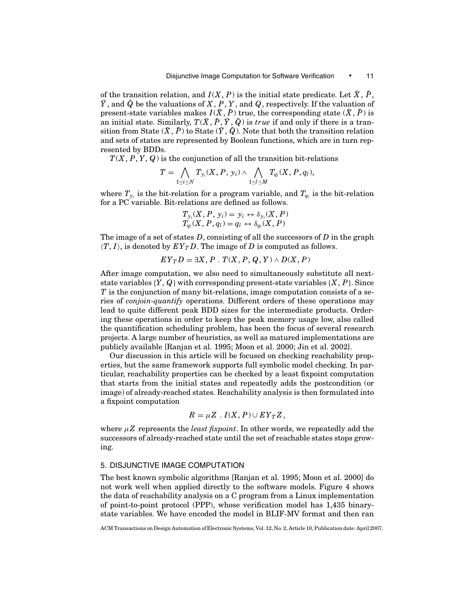of the transition relation, and  $I(X, P)$  is the initial state predicate. Let  $\tilde{X}, \tilde{P}$ ,  $\tilde{Y}$  , and  $\tilde{Q}$  be the valuations of  $X$  ,  $P$  ,  $Y$  , and  $Q$  , respectively. If the valuation of present-state variables makes  $I(\tilde{X}, \tilde{P})$  true, the corresponding state  $(\tilde{X}, \tilde{P})$  is an initial state. Similarly,  $T(\tilde{X}, \tilde{P}, \tilde{Y}, \tilde{Q})$  is *true* if and only if there is a transition from State  $(\tilde{X}, \tilde{P})$  to State  $(\tilde{Y}, \tilde{Q})$ . Note that both the transition relation and sets of states are represented by Boolean functions, which are in turn represented by BDDs.

 $T(X, P, Y, Q)$  is the conjunction of all the transition bit-relations

$$
T=\bigwedge_{1\leq i\leq N}T_{y_i}(X,P,y_i)\wedge\bigwedge_{1\leq l\leq M}T_{q_l}(X,P,q_l),
$$

where  $T_{y_i}$  is the bit-relation for a program variable, and  $T_{q_i}$  is the bit-relation for a PC variable. Bit-relations are defined as follows.

$$
T_{y_i}(X, P, y_i) = y_i \leftrightarrow \delta_{y_i}(X, P)
$$
  

$$
T_{q_i}(X, P, q_i) = q_i \leftrightarrow \delta_{q_i}(X, P)
$$

The image of a set of states *D*, consisting of all the successors of *D* in the graph  $\langle T, I \rangle$ , is denoted by  $EY_T D$ . The image of *D* is computed as follows.

 $EY_TD = \exists X, P \cdot T(X, P, Q, Y) \wedge D(X, P)$ 

After image computation, we also need to simultaneously substitute all nextstate variables  ${Y, Q}$  with corresponding present-state variables  ${X, P}$ . Since *T* is the conjunction of many bit-relations, image computation consists of a series of *conjoin-quantify* operations. Different orders of these operations may lead to quite different peak BDD sizes for the intermediate products. Ordering these operations in order to keep the peak memory usage low, also called the quantification scheduling problem, has been the focus of several research projects. A large number of heuristics, as well as matured implementations are publicly available [Ranjan et al. 1995; Moon et al. 2000; Jin et al. 2002].

Our discussion in this article will be focused on checking reachability properties, but the same framework supports full symbolic model checking. In particular, reachability properties can be checked by a least fixpoint computation that starts from the initial states and repeatedly adds the postcondition (or image) of already-reached states. Reachability analysis is then formulated into a fixpoint computation

$$
R=\mu Z \ . \ I(X,P)\cup EY_TZ,
$$

where  $\mu Z$  represents the *least fixpoint*. In other words, we repeatedly add the successors of already-reached state until the set of reachable states stops growing.

# 5. DISJUNCTIVE IMAGE COMPUTATION

The best known symbolic algorithms [Ranjan et al. 1995; Moon et al. 2000] do not work well when applied directly to the software models. Figure 4 shows the data of reachability analysis on a C program from a Linux implementation of point-to-point protocol (PPP), whose verification model has 1,435 binarystate variables. We have encoded the model in BLIF-MV format and then ran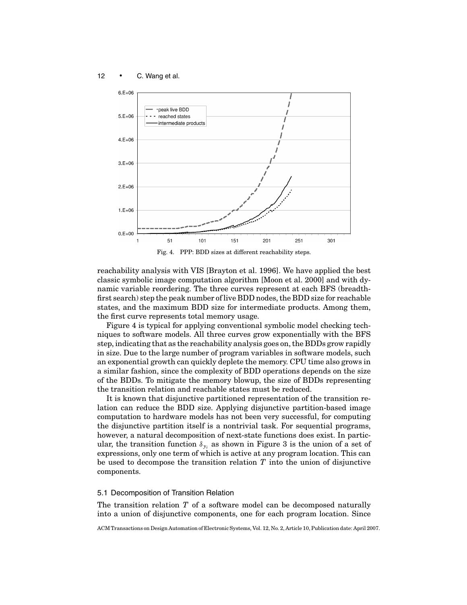

reachability analysis with VIS [Brayton et al. 1996]. We have applied the best classic symbolic image computation algorithm [Moon et al. 2000] and with dynamic variable reordering. The three curves represent at each BFS (breadthfirst search) step the peak number of live BDD nodes, the BDD size for reachable states, and the maximum BDD size for intermediate products. Among them, the first curve represents total memory usage.

Figure 4 is typical for applying conventional symbolic model checking techniques to software models. All three curves grow exponentially with the BFS step, indicating that as the reachability analysis goes on, the BDDs grow rapidly in size. Due to the large number of program variables in software models, such an exponential growth can quickly deplete the memory. CPU time also grows in a similar fashion, since the complexity of BDD operations depends on the size of the BDDs. To mitigate the memory blowup, the size of BDDs representing the transition relation and reachable states must be reduced.

It is known that disjunctive partitioned representation of the transition relation can reduce the BDD size. Applying disjunctive partition-based image computation to hardware models has not been very successful, for computing the disjunctive partition itself is a nontrivial task. For sequential programs, however, a natural decomposition of next-state functions does exist. In particular, the transition function  $\delta_{y_i}$  as shown in Figure 3 is the union of a set of expressions, only one term of which is active at any program location. This can be used to decompose the transition relation *T* into the union of disjunctive components.

## 5.1 Decomposition of Transition Relation

The transition relation *T* of a software model can be decomposed naturally into a union of disjunctive components, one for each program location. Since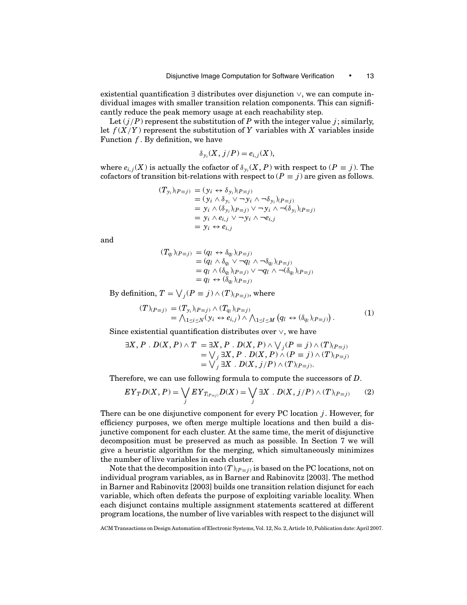existential quantification ∃ distributes over disjunction ∨, we can compute individual images with smaller transition relation components. This can significantly reduce the peak memory usage at each reachability step.

Let  $(j/P)$  represent the substitution of *P* with the integer value *j*; similarly, let  $f(X/Y)$  represent the substitution of Y variables with X variables inside Function *f* . By definition, we have

$$
\delta_{y_i}(X, j/P) = e_{i,j}(X),
$$

where  $e_{i,j}(X)$  is actually the cofactor of  $\delta_{y_i}(X, P)$  with respect to  $(P \equiv j)$ . The cofactors of transition bit-relations with respect to ( $P \equiv j$ ) are given as follows.

$$
(T_{y_i})_{(P \equiv j)} = (y_i \leftrightarrow \delta_{y_i})_{(P \equiv j)}
$$
  
=  $(y_i \land \delta_{y_i} \lor \neg y_i \land \neg \delta_{y_i})_{(P \equiv j)}$   
=  $y_i \land (\delta_{y_i})_{(P \equiv j)} \lor \neg y_i \land \neg (\delta_{y_i})_{(P \equiv j)}$   
=  $y_i \land e_{i,j} \lor \neg y_i \land \neg e_{i,j}$   
=  $y_i \leftrightarrow e_{i,j}$ 

and

$$
(T_{q_l})_{(P \equiv j)} = (q_l \leftrightarrow \delta_{q_l})_{(P \equiv j)}
$$
  
=  $(q_l \land \delta_{q_l} \lor \neg q_l \land \neg \delta_{q_l})_{(P \equiv j)}$   
=  $q_l \land (\delta_{q_l})_{(P \equiv j)} \lor \neg q_l \land \neg (\delta_{q_l})_{(P \equiv j)}$   
=  $q_l \leftrightarrow (\delta_{q_l})_{(P \equiv j)}$ 

 $\textrm{By definition, } T = \bigvee_j (P \equiv j) \wedge (T)_{(P \equiv j)}, \textrm{where}$ 

$$
(T)_{(P \equiv j)} = (T_{y_i})_{(P \equiv j)} \wedge (T_{q_l})_{(P \equiv j)} = \bigwedge_{1 \leq i \leq N} (y_i \leftrightarrow e_{i,j}) \wedge \bigwedge_{1 \leq l \leq M} (q_l \leftrightarrow (\delta_{q_l})_{(P \equiv j)}) .
$$
 (1)

Since existential quantification distributes over ∨, we have

$$
\exists X, P \cdot D(X, P) \wedge T = \exists X, P \cdot D(X, P) \wedge \bigvee_j (P \equiv j) \wedge (T)_{(P \equiv j)}
$$
  
=  $\bigvee_j \exists X, P \cdot D(X, P) \wedge (P \equiv j) \wedge (T)_{(P \equiv j)}$   
=  $\bigvee_j \exists X \cdot D(X, j/P) \wedge (T)_{(P \equiv j)}$ .

Therefore, we can use following formula to compute the successors of *D*.

$$
EY_T D(X, P) = \bigvee_j EY_{T_{(P=j)}} D(X) = \bigvee_j \exists X \, . \, D(X, j/P) \wedge (T)_{(P=j)} \qquad (2)
$$

There can be one disjunctive component for every PC location *j*. However, for efficiency purposes, we often merge multiple locations and then build a disjunctive component for each cluster. At the same time, the merit of disjunctive decomposition must be preserved as much as possible. In Section 7 we will give a heuristic algorithm for the merging, which simultaneously minimizes the number of live variables in each cluster.

Note that the decomposition into  $(T)_{(P \equiv j)}$  is based on the PC locations, not on individual program variables, as in Barner and Rabinovitz [2003]. The method in Barner and Rabinovitz [2003] builds one transition relation disjunct for each variable, which often defeats the purpose of exploiting variable locality. When each disjunct contains multiple assignment statements scattered at different program locations, the number of live variables with respect to the disjunct will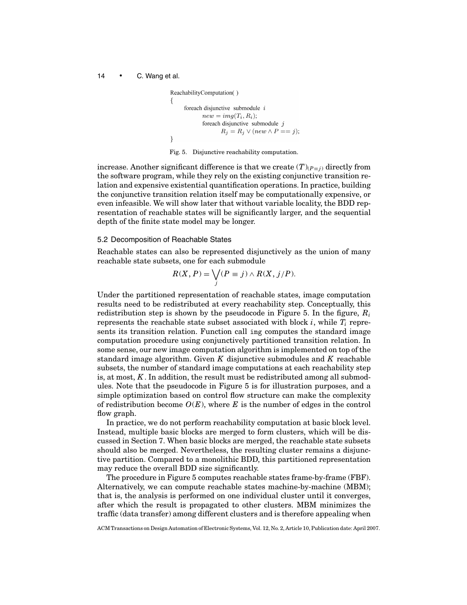```
ReachabilityComputation()
ſ
      foreach disjunctive submodule inew = img(T_i, R_i);for<br>each disjunctive submodule \ensuremath{\textit{j}}R_j = R_j \vee (new \wedge P == j);\}
```

```
Fig. 5. Disjunctive reachability computation.
```
increase. Another significant difference is that we create  $(T)_{(P \equiv j)}$  directly from the software program, while they rely on the existing conjunctive transition relation and expensive existential quantification operations. In practice, building the conjunctive transition relation itself may be computationally expensive, or even infeasible. We will show later that without variable locality, the BDD representation of reachable states will be significantly larger, and the sequential depth of the finite state model may be longer.

#### 5.2 Decomposition of Reachable States

Reachable states can also be represented disjunctively as the union of many reachable state subsets, one for each submodule

$$
R(X, P) = \bigvee_j (P \equiv j) \wedge R(X, j/P).
$$

Under the partitioned representation of reachable states, image computation results need to be redistributed at every reachability step. Conceptually, this redistribution step is shown by the pseudocode in Figure 5. In the figure, *Ri* represents the reachable state subset associated with block  $i$ , while  $T_i$  represents its transition relation. Function call img computes the standard image computation procedure using conjunctively partitioned transition relation. In some sense, our new image computation algorithm is implemented on top of the standard image algorithm. Given *K* disjunctive submodules and *K* reachable subsets, the number of standard image computations at each reachability step is, at most, *K* . In addition, the result must be redistributed among all submodules. Note that the pseudocode in Figure 5 is for illustration purposes, and a simple optimization based on control flow structure can make the complexity of redistribution become  $O(E)$ , where  $E$  is the number of edges in the control flow graph.

In practice, we do not perform reachability computation at basic block level. Instead, multiple basic blocks are merged to form clusters, which will be discussed in Section 7. When basic blocks are merged, the reachable state subsets should also be merged. Nevertheless, the resulting cluster remains a disjunctive partition. Compared to a monolithic BDD, this partitioned representation may reduce the overall BDD size significantly.

The procedure in Figure 5 computes reachable states frame-by-frame (FBF). Alternatively, we can compute reachable states machine-by-machine (MBM); that is, the analysis is performed on one individual cluster until it converges, after which the result is propagated to other clusters. MBM minimizes the traffic (data transfer) among different clusters and is therefore appealing when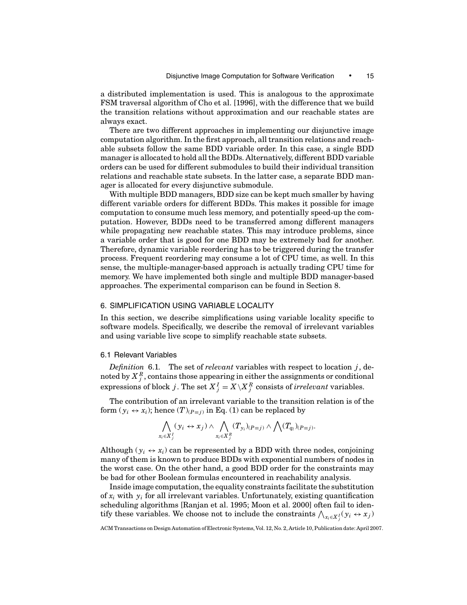a distributed implementation is used. This is analogous to the approximate FSM traversal algorithm of Cho et al. [1996], with the difference that we build the transition relations without approximation and our reachable states are always exact.

There are two different approaches in implementing our disjunctive image computation algorithm. In the first approach, all transition relations and reachable subsets follow the same BDD variable order. In this case, a single BDD manager is allocated to hold all the BDDs. Alternatively, different BDD variable orders can be used for different submodules to build their individual transition relations and reachable state subsets. In the latter case, a separate BDD manager is allocated for every disjunctive submodule.

With multiple BDD managers, BDD size can be kept much smaller by having different variable orders for different BDDs. This makes it possible for image computation to consume much less memory, and potentially speed-up the computation. However, BDDs need to be transferred among different managers while propagating new reachable states. This may introduce problems, since a variable order that is good for one BDD may be extremely bad for another. Therefore, dynamic variable reordering has to be triggered during the transfer process. Frequent reordering may consume a lot of CPU time, as well. In this sense, the multiple-manager-based approach is actually trading CPU time for memory. We have implemented both single and multiple BDD manager-based approaches. The experimental comparison can be found in Section 8.

#### 6. SIMPLIFICATION USING VARIABLE LOCALITY

In this section, we describe simplifications using variable locality specific to software models. Specifically, we describe the removal of irrelevant variables and using variable live scope to simplify reachable state subsets.

#### 6.1 Relevant Variables

*Definition* 6.1*.* The set of *relevant* variables with respect to location *j*, denoted by  $X_j^R$  , contains those appearing in either the assignments or conditional  $\text{expressions of block } j. \text{ The set } X^I_j = X \setminus X^R_j \text{ consists of irrelevant variables.}$ 

The contribution of an irrelevant variable to the transition relation is of the form  $(y_i \leftrightarrow x_i)$ ; hence  $(T)_{(P \equiv j)}$  in Eq. (1) can be replaced by

$$
\bigwedge_{x_i \in X_j^I} (y_i \leftrightarrow x_j) \land \bigwedge_{x_i \in X_j^R} (T_{y_i})_{(P \equiv j)} \land \bigwedge (T_{q_l})_{(P \equiv j)}.
$$

Although  $(y_i \leftrightarrow x_i)$  can be represented by a BDD with three nodes, conjoining many of them is known to produce BDDs with exponential numbers of nodes in the worst case. On the other hand, a good BDD order for the constraints may be bad for other Boolean formulas encountered in reachability analysis.

Inside image computation, the equality constraints facilitate the substitution of  $x_i$  with  $y_i$  for all irrelevant variables. Unfortunately, existing quantification scheduling algorithms [Ranjan et al. 1995; Moon et al. 2000] often fail to identify these variables. We choose not to include the constraints  $\bigwedge_{x_i \in X_j^I} (y_i \leftrightarrow x_j)$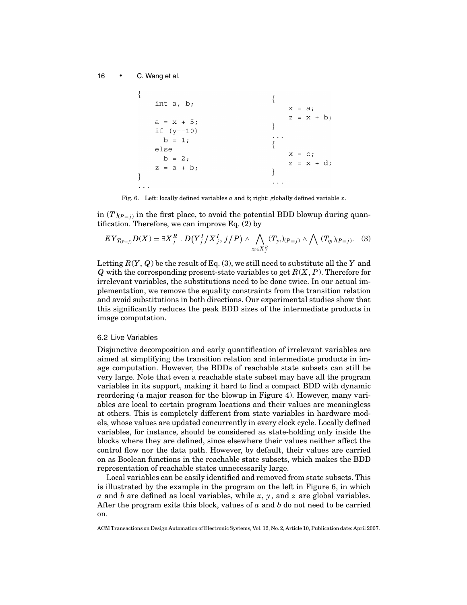16 • C. Wang et al. int a, b;  $x = a_i$  $z = x + b;$  $a = x + 5;$  $\{$ if  $(y == 10)$  $b = 1;$ else  $X = C;$  $b = 2;$  $z = x + d;$  $z = a + b;$ ł  $\}$  $\ddots$  .  $\ddotsc$ 

Fig. 6. Left: locally defined variables *a* and *b*; right: globally defined variable *x*.

in  $(T)_{(P=\bar{p})}$  in the first place, to avoid the potential BDD blowup during quantification. Therefore, we can improve Eq. (2) by

$$
EY_{T_{(P=j)}}D(X) = \exists X_j^R \cdot D(Y_j^I/X_j^I, j/P) \wedge \bigwedge_{x_i \in X_j^R} (T_{y_i})_{(P \equiv j)} \wedge \bigwedge (T_{q_i})_{(P \equiv j)}.
$$
 (3)

Letting *R*(*Y*, *Q*) be the result of Eq. (3), we still need to substitute all the *Y* and *Q* with the corresponding present-state variables to get *R*(*X* , *P*). Therefore for irrelevant variables, the substitutions need to be done twice. In our actual implementation, we remove the equality constraints from the transition relation and avoid substitutions in both directions. Our experimental studies show that this significantly reduces the peak BDD sizes of the intermediate products in image computation.

#### 6.2 Live Variables

Disjunctive decomposition and early quantification of irrelevant variables are aimed at simplifying the transition relation and intermediate products in image computation. However, the BDDs of reachable state subsets can still be very large. Note that even a reachable state subset may have all the program variables in its support, making it hard to find a compact BDD with dynamic reordering (a major reason for the blowup in Figure 4). However, many variables are local to certain program locations and their values are meaningless at others. This is completely different from state variables in hardware models, whose values are updated concurrently in every clock cycle. Locally defined variables, for instance, should be considered as state-holding only inside the blocks where they are defined, since elsewhere their values neither affect the control flow nor the data path. However, by default, their values are carried on as Boolean functions in the reachable state subsets, which makes the BDD representation of reachable states unnecessarily large.

Local variables can be easily identified and removed from state subsets. This is illustrated by the example in the program on the left in Figure 6, in which *a* and *b* are defined as local variables, while *x*, *y*, and *z* are global variables. After the program exits this block, values of *a* and *b* do not need to be carried on.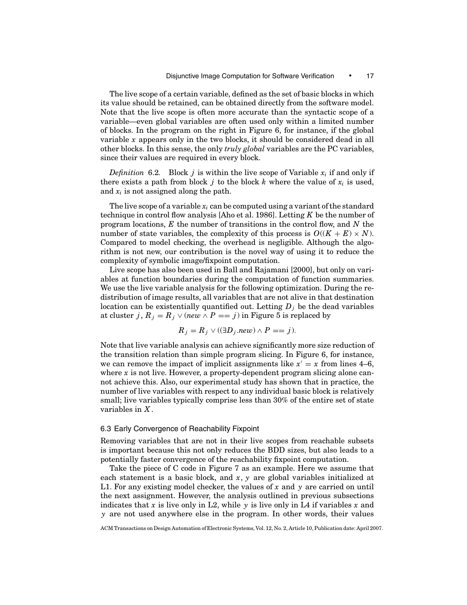The live scope of a certain variable, defined as the set of basic blocks in which its value should be retained, can be obtained directly from the software model. Note that the live scope is often more accurate than the syntactic scope of a variable—even global variables are often used only within a limited number of blocks. In the program on the right in Figure 6, for instance, if the global variable *x* appears only in the two blocks, it should be considered dead in all other blocks. In this sense, the only *truly global* variables are the PC variables, since their values are required in every block.

*Definition* 6.2. Block *j* is within the live scope of Variable  $x_i$  if and only if there exists a path from block *j* to the block *k* where the value of  $x_i$  is used, and *xi* is not assigned along the path.

The live scope of a variable  $x_i$  can be computed using a variant of the standard technique in control flow analysis [Aho et al. 1986]. Letting *K* be the number of program locations, *E* the number of transitions in the control flow, and *N* the number of state variables, the complexity of this process is  $O((K + E) \times N)$ . Compared to model checking, the overhead is negligible. Although the algorithm is not new, our contribution is the novel way of using it to reduce the complexity of symbolic image/fixpoint computation.

Live scope has also been used in Ball and Rajamani [2000], but only on variables at function boundaries during the computation of function summaries. We use the live variable analysis for the following optimization. During the redistribution of image results, all variables that are not alive in that destination location can be existentially quantified out. Letting  $D_i$  be the dead variables at cluster *j*,  $R_j = R_j \vee (new \wedge P == j)$  in Figure 5 is replaced by

$$
R_j = R_j \vee (\exists D_j \text{ .} \text{ new}) \wedge P == j).
$$

Note that live variable analysis can achieve significantly more size reduction of the transition relation than simple program slicing. In Figure 6, for instance, we can remove the impact of implicit assignments like  $x' = x$  from lines 4–6, where *x* is not live. However, a property-dependent program slicing alone cannot achieve this. Also, our experimental study has shown that in practice, the number of live variables with respect to any individual basic block is relatively small; live variables typically comprise less than 30% of the entire set of state variables in *X* .

#### 6.3 Early Convergence of Reachability Fixpoint

Removing variables that are not in their live scopes from reachable subsets is important because this not only reduces the BDD sizes, but also leads to a potentially faster convergence of the reachability fixpoint computation.

Take the piece of C code in Figure 7 as an example. Here we assume that each statement is a basic block, and *x*, *y* are global variables initialized at L1. For any existing model checker, the values of *x* and *y* are carried on until the next assignment. However, the analysis outlined in previous subsections indicates that *x* is live only in L2, while  $\gamma$  is live only in L4 if variables *x* and *y* are not used anywhere else in the program. In other words, their values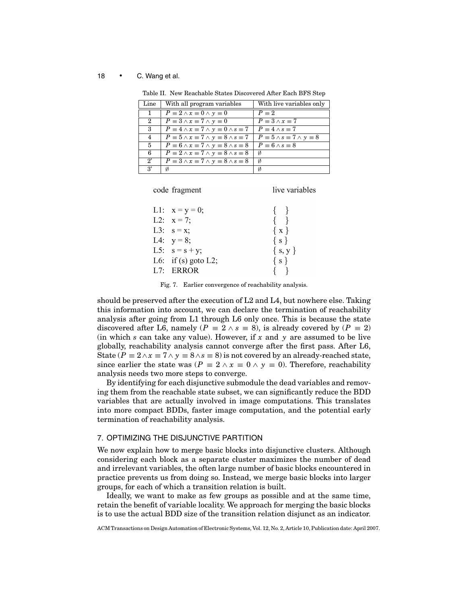Line With all program variables With live variables only 1  $P \equiv 2 \wedge x \equiv 0 \wedge y \equiv 0$   $P \equiv 2$ 2  $P \equiv 3 \wedge x \equiv 7 \wedge y \equiv 0$   $P \equiv 3 \wedge x \equiv 7$ 3  $P \equiv 4 \wedge x \equiv 7 \wedge y \equiv 0 \wedge s \equiv 7$   $P \equiv 4 \wedge s \equiv 7$ 4  $P \equiv 5 \land x \equiv 7 \land y \equiv 8 \land s \equiv 7$   $P \equiv 5 \land s \equiv 7 \land y \equiv 8$ 5  $P \equiv 6 \land x \equiv 7 \land y \equiv 8 \land s \equiv 8$   $P \equiv 6 \land s \equiv 8$ 6  $P \equiv 2 \land x \equiv 7 \land y \equiv 8 \land s \equiv 8$  Ø 2' **P**  $\equiv 3 \wedge x \equiv 7 \wedge y \equiv 8 \wedge s \equiv 8$  Ø 3' ∅ ∅

Table II. New Reachable States Discovered After Each BFS Step

| code fragment |  |
|---------------|--|
|---------------|--|

live variables

| L1: $x = y = 0$ ;   | { }         |
|---------------------|-------------|
| L2: $x = 7$ ;       | $\{ \ \ \}$ |
| L3: $s = x$ ;       | $\{x\}$     |
| L4: $y = 8$ ;       | $\{s\}$     |
| L5: $s = s + y$ ;   | $\{s, y\}$  |
| L6: if (s) goto L2; | $\{s\}$     |
| L7: ERROR           | री          |
|                     |             |

Fig. 7. Earlier convergence of reachability analysis.

should be preserved after the execution of L2 and L4, but nowhere else. Taking this information into account, we can declare the termination of reachability analysis after going from L1 through L6 only once. This is because the state discovered after L6, namely ( $P \equiv 2 \wedge s = 8$ ), is already covered by ( $P \equiv 2$ ) (in which *s* can take any value). However, if *x* and *y* are assumed to be live globally, reachability analysis cannot converge after the first pass. After L6, State ( $P \equiv 2 \land x \equiv 7 \land y \equiv 8 \land s \equiv 8$ ) is not covered by an already-reached state, since earlier the state was ( $P \equiv 2 \wedge x \equiv 0 \wedge y \equiv 0$ ). Therefore, reachability analysis needs two more steps to converge.

By identifying for each disjunctive submodule the dead variables and removing them from the reachable state subset, we can significantly reduce the BDD variables that are actually involved in image computations. This translates into more compact BDDs, faster image computation, and the potential early termination of reachability analysis.

# 7. OPTIMIZING THE DISJUNCTIVE PARTITION

We now explain how to merge basic blocks into disjunctive clusters. Although considering each block as a separate cluster maximizes the number of dead and irrelevant variables, the often large number of basic blocks encountered in practice prevents us from doing so. Instead, we merge basic blocks into larger groups, for each of which a transition relation is built.

Ideally, we want to make as few groups as possible and at the same time, retain the benefit of variable locality. We approach for merging the basic blocks is to use the actual BDD size of the transition relation disjunct as an indicator.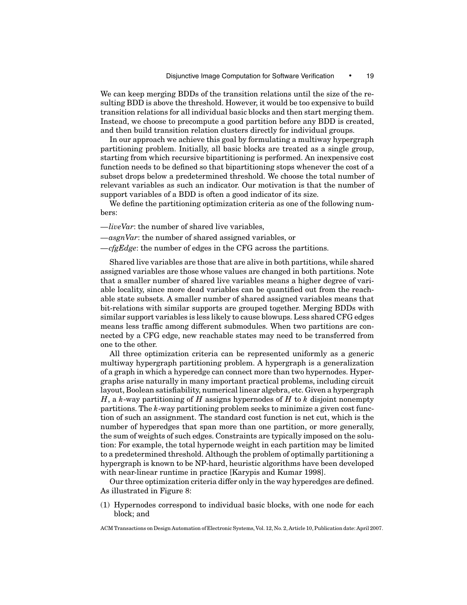We can keep merging BDDs of the transition relations until the size of the resulting BDD is above the threshold. However, it would be too expensive to build transition relations for all individual basic blocks and then start merging them. Instead, we choose to precompute a good partition before any BDD is created, and then build transition relation clusters directly for individual groups.

In our approach we achieve this goal by formulating a multiway hypergraph partitioning problem. Initially, all basic blocks are treated as a single group, starting from which recursive bipartitioning is performed. An inexpensive cost function needs to be defined so that bipartitioning stops whenever the cost of a subset drops below a predetermined threshold. We choose the total number of relevant variables as such an indicator. Our motivation is that the number of support variables of a BDD is often a good indicator of its size.

We define the partitioning optimization criteria as one of the following numbers:

—*liveVar*: the number of shared live variables,

—*asgnVar*: the number of shared assigned variables, or

—*cfgEdge*: the number of edges in the CFG across the partitions.

Shared live variables are those that are alive in both partitions, while shared assigned variables are those whose values are changed in both partitions. Note that a smaller number of shared live variables means a higher degree of variable locality, since more dead variables can be quantified out from the reachable state subsets. A smaller number of shared assigned variables means that bit-relations with similar supports are grouped together. Merging BDDs with similar support variables is less likely to cause blowups. Less shared CFG edges means less traffic among different submodules. When two partitions are connected by a CFG edge, new reachable states may need to be transferred from one to the other.

All three optimization criteria can be represented uniformly as a generic multiway hypergraph partitioning problem. A hypergraph is a generalization of a graph in which a hyperedge can connect more than two hypernodes. Hypergraphs arise naturally in many important practical problems, including circuit layout, Boolean satisfiability, numerical linear algebra, etc. Given a hypergraph *H*, a *k*-way partitioning of *H* assigns hypernodes of *H* to *k* disjoint nonempty partitions. The *k*-way partitioning problem seeks to minimize a given cost function of such an assignment. The standard cost function is net cut, which is the number of hyperedges that span more than one partition, or more generally, the sum of weights of such edges. Constraints are typically imposed on the solution: For example, the total hypernode weight in each partition may be limited to a predetermined threshold. Although the problem of optimally partitioning a hypergraph is known to be NP-hard, heuristic algorithms have been developed with near-linear runtime in practice [Karypis and Kumar 1998].

Our three optimization criteria differ only in the way hyperedges are defined. As illustrated in Figure 8:

(1) Hypernodes correspond to individual basic blocks, with one node for each block; and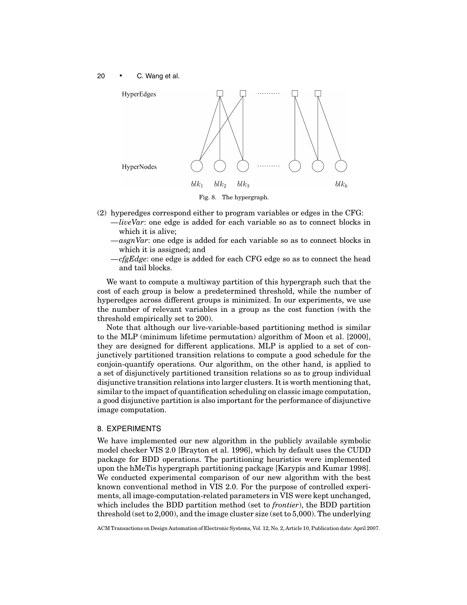20 • C. Wang et al.



- (2) hyperedges correspond either to program variables or edges in the CFG:
	- —*liveVar*: one edge is added for each variable so as to connect blocks in which it is alive;
	- —*asgnVar*: one edge is added for each variable so as to connect blocks in which it is assigned; and
	- —*cfgEdge*: one edge is added for each CFG edge so as to connect the head and tail blocks.

We want to compute a multiway partition of this hypergraph such that the cost of each group is below a predetermined threshold, while the number of hyperedges across different groups is minimized. In our experiments, we use the number of relevant variables in a group as the cost function (with the threshold empirically set to 200).

Note that although our live-variable-based partitioning method is similar to the MLP (minimum lifetime permutation) algorithm of Moon et al. [2000], they are designed for different applications. MLP is applied to a set of conjunctively partitioned transition relations to compute a good schedule for the conjoin-quantify operations. Our algorithm, on the other hand, is applied to a set of disjunctively partitioned transition relations so as to group individual disjunctive transition relations into larger clusters. It is worth mentioning that, similar to the impact of quantification scheduling on classic image computation, a good disjunctive partition is also important for the performance of disjunctive image computation.

# 8. EXPERIMENTS

We have implemented our new algorithm in the publicly available symbolic model checker VIS 2.0 [Brayton et al. 1996], which by default uses the CUDD package for BDD operations. The partitioning heuristics were implemented upon the hMeTis hypergraph partitioning package [Karypis and Kumar 1998]. We conducted experimental comparison of our new algorithm with the best known conventional method in VIS 2.0. For the purpose of controlled experiments, all image-computation-related parameters in VIS were kept unchanged, which includes the BDD partition method (set to *frontier*), the BDD partition threshold (set to 2,000), and the image cluster size (set to 5,000). The underlying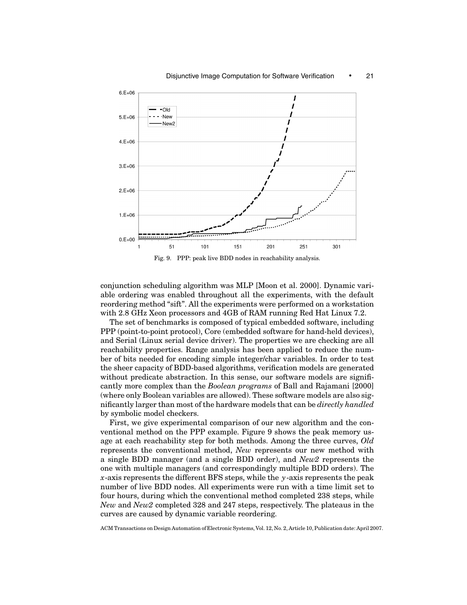

Fig. 9. PPP: peak live BDD nodes in reachability analysis.

conjunction scheduling algorithm was MLP [Moon et al. 2000]. Dynamic variable ordering was enabled throughout all the experiments, with the default reordering method "sift". All the experiments were performed on a workstation with 2.8 GHz Xeon processors and 4GB of RAM running Red Hat Linux 7.2.

The set of benchmarks is composed of typical embedded software, including PPP (point-to-point protocol), Core (embedded software for hand-held devices), and Serial (Linux serial device driver). The properties we are checking are all reachability properties. Range analysis has been applied to reduce the number of bits needed for encoding simple integer/char variables. In order to test the sheer capacity of BDD-based algorithms, verification models are generated without predicate abstraction. In this sense, our software models are significantly more complex than the *Boolean programs* of Ball and Rajamani [2000] (where only Boolean variables are allowed). These software models are also significantly larger than most of the hardware models that can be *directly handled* by symbolic model checkers.

First, we give experimental comparison of our new algorithm and the conventional method on the PPP example. Figure 9 shows the peak memory usage at each reachability step for both methods. Among the three curves, *Old* represents the conventional method, *New* represents our new method with a single BDD manager (and a single BDD order), and *New2* represents the one with multiple managers (and correspondingly multiple BDD orders). The *x*-axis represents the different BFS steps, while the *y*-axis represents the peak number of live BDD nodes. All experiments were run with a time limit set to four hours, during which the conventional method completed 238 steps, while *New* and *New2* completed 328 and 247 steps, respectively. The plateaus in the curves are caused by dynamic variable reordering.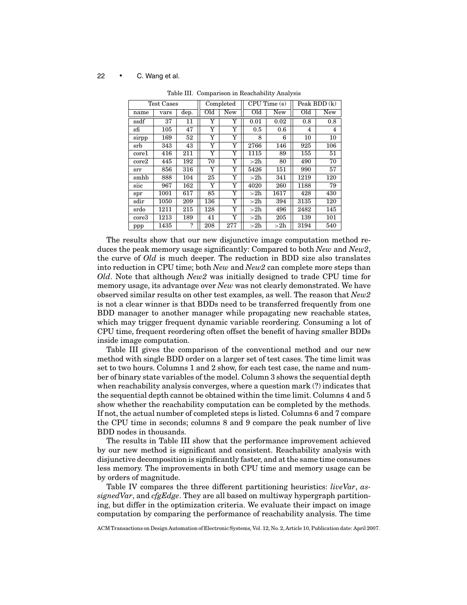| Test Cases |          |      | Completed | CPU Time(s)<br>Peak BDD (k) |            |      |      |     |  |
|------------|----------|------|-----------|-----------------------------|------------|------|------|-----|--|
| name       | vars     | dep. | Old       | New                         | Old<br>New |      | Old  | New |  |
| ssdf       | 37       | 11   | Y         | Y                           | 0.01       | 0.02 | 0.8  | 0.8 |  |
| sffi       | 105      | 47   | Y         | Y                           | 0.5        | 0.6  | 4    | 4   |  |
| sirpp      | 169      | 52   | Y         | Y                           | 8          | 6    | 10   | 10  |  |
| srb        | 343      | 43   | Y         | Y                           | 2766       | 146  | 925  | 106 |  |
| core1      | 416      | 211  | Y         | Y                           | 1115       | 89   | 155  | 51  |  |
| core2      | 445      | 192  | 70        | Y                           | >2h        | 80   | 490  | 70  |  |
| srr        | 856      | 316  | Y         | Y                           | 5426       | 151  | 990  | 57  |  |
| smhb       | 888      | 104  | 25        | Y                           | >2h        | 341  | 1219 | 120 |  |
| siic       | 967      | 162  | Y         | Y                           | 4020       | 260  | 1188 | 79  |  |
| spr        | $1001\,$ | 617  | 85        | Y                           | >2h        | 1617 | 428  | 430 |  |
| sdir       | 1050     | 209  | 136       | Y                           | >2h        | 394  | 3135 | 120 |  |
| srdo       | 1211     | 215  | 128       | Y                           | >2h        | 496  | 2482 | 145 |  |
| core3      | 1213     | 189  | 41        | Y                           | >2h        | 205  | 139  | 101 |  |
| ppp        | 1435     | ?    | 208       | 277                         | >2h        | >2h  | 3194 | 540 |  |

Table III. Comparison in Reachability Analysis

The results show that our new disjunctive image computation method reduces the peak memory usage significantly: Compared to both *New* and *New2*, the curve of *Old* is much deeper. The reduction in BDD size also translates into reduction in CPU time; both *New* and *New2* can complete more steps than *Old*. Note that although *New2* was initially designed to trade CPU time for memory usage, its advantage over *New* was not clearly demonstrated. We have observed similar results on other test examples, as well. The reason that *New2* is not a clear winner is that BDDs need to be transferred frequently from one BDD manager to another manager while propagating new reachable states, which may trigger frequent dynamic variable reordering. Consuming a lot of CPU time, frequent reordering often offset the benefit of having smaller BDDs inside image computation.

Table III gives the comparison of the conventional method and our new method with single BDD order on a larger set of test cases. The time limit was set to two hours. Columns 1 and 2 show, for each test case, the name and number of binary state variables of the model. Column 3 shows the sequential depth when reachability analysis converges, where a question mark (?) indicates that the sequential depth cannot be obtained within the time limit. Columns 4 and 5 show whether the reachability computation can be completed by the methods. If not, the actual number of completed steps is listed. Columns 6 and 7 compare the CPU time in seconds; columns 8 and 9 compare the peak number of live BDD nodes in thousands.

The results in Table III show that the performance improvement achieved by our new method is significant and consistent. Reachability analysis with disjunctive decomposition is significantly faster, and at the same time consumes less memory. The improvements in both CPU time and memory usage can be by orders of magnitude.

Table IV compares the three different partitioning heuristics: *liveVar*, *assignedVar*, and *cfgEdge*. They are all based on multiway hypergraph partitioning, but differ in the optimization criteria. We evaluate their impact on image computation by comparing the performance of reachability analysis. The time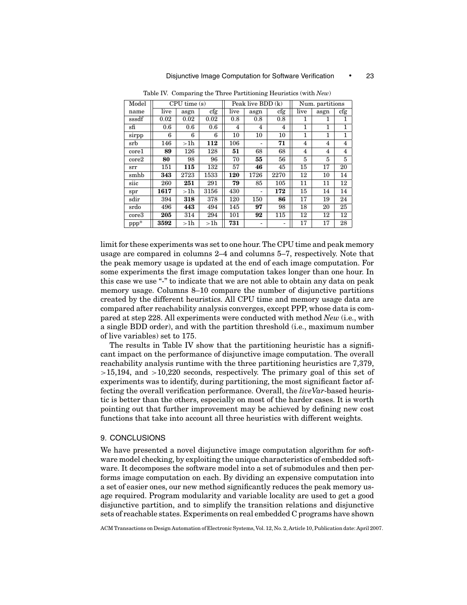| Model             | CPU time(s) |                 |                 |      | Peak live BDD (k) |      |      | Num. partitions |     |  |
|-------------------|-------------|-----------------|-----------------|------|-------------------|------|------|-----------------|-----|--|
| name              | live        | asgn            | cfg             | live | asgn              | cfg  | live | asgn            | cfg |  |
| sssdf             | 0.02        | 0.02            | 0.02            | 0.8  | 0.8               | 0.8  | 1    | 1               | 1   |  |
| sfi               | 0.6         | 0.6             | 0.6             | 4    | $\overline{4}$    | 4    | 1    | 1               | 1   |  |
| sirpp             | 6           | 6               | 6               | 10   | 10                | 10   | 1    | 1               | 1   |  |
| srb               | 146         | >1 <sup>h</sup> | 112             | 106  |                   | 71   | 4    | 4               | 4   |  |
| core1             | 89          | 126             | 128             | 51   | 68                | 68   | 4    | $\overline{4}$  | 4   |  |
| core2             | 80          | 98              | 96              | 70   | 55                | 56   | 5    | 5               | 5   |  |
| srr               | 151         | 115             | 132             | 57   | 46                | 45   | 15   | 17              | 20  |  |
| smhb              | 343         | 2723            | 1533            | 120  | 1726              | 2270 | 12   | 10              | 14  |  |
| siic              | 260         | 251             | 291             | 79   | 85                | 105  | 11   | 11              | 12  |  |
| spr               | 1617        | >1 <sub>h</sub> | 3156            | 430  |                   | 172  | 15   | 14              | 14  |  |
| sdir              | 394         | 318             | 378             | 120  | 150               | 86   | 17   | 19              | 24  |  |
| srdo              | 496         | 443             | 494             | 145  | 97                | 98   | 18   | 20              | 25  |  |
| core <sub>3</sub> | 205         | 314             | 294             | 101  | 92                | 115  | 12   | 12              | 12  |  |
| $ppp*$            | 3592        | >1 <sup>h</sup> | >1 <sup>h</sup> | 731  |                   |      | 17   | 17              | 28  |  |

Table IV. Comparing the Three Partitioning Heuristics (with *New*)

limit for these experiments was set to one hour. The CPU time and peak memory usage are compared in columns 2–4 and columns 5–7, respectively. Note that the peak memory usage is updated at the end of each image computation. For some experiments the first image computation takes longer than one hour. In this case we use "-" to indicate that we are not able to obtain any data on peak memory usage. Columns 8–10 compare the number of disjunctive partitions created by the different heuristics. All CPU time and memory usage data are compared after reachability analysis converges, except PPP, whose data is compared at step 228. All experiments were conducted with method *New* (i.e., with a single BDD order), and with the partition threshold (i.e., maximum number of live variables) set to 175.

The results in Table IV show that the partitioning heuristic has a significant impact on the performance of disjunctive image computation. The overall reachability analysis runtime with the three partitioning heuristics are 7,379, >15,194, and >10,220 seconds, respectively. The primary goal of this set of experiments was to identify, during partitioning, the most significant factor affecting the overall verification performance. Overall, the *liveVar*-based heuristic is better than the others, especially on most of the harder cases. It is worth pointing out that further improvement may be achieved by defining new cost functions that take into account all three heuristics with different weights.

# 9. CONCLUSIONS

We have presented a novel disjunctive image computation algorithm for software model checking, by exploiting the unique characteristics of embedded software. It decomposes the software model into a set of submodules and then performs image computation on each. By dividing an expensive computation into a set of easier ones, our new method significantly reduces the peak memory usage required. Program modularity and variable locality are used to get a good disjunctive partition, and to simplify the transition relations and disjunctive sets of reachable states. Experiments on real embedded C programs have shown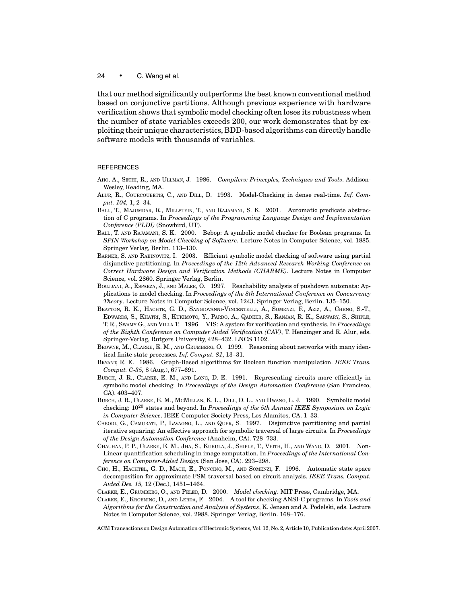that our method significantly outperforms the best known conventional method based on conjunctive partitions. Although previous experience with hardware verification shows that symbolic model checking often loses its robustness when the number of state variables exceeds 200, our work demonstrates that by exploiting their unique characteristics, BDD-based algorithms can directly handle software models with thousands of variables.

### **REFERENCES**

- AHO, A., SETHI, R., AND ULLMAN, J. 1986. *Compilers: Princeples, Techniques and Tools*. Addison-Wesley, Reading, MA.
- ALUR, R., COURCOUBETIS, C., AND DILL, D. 1993. Model-Checking in dense real-time. *Inf. Comput. 104,* 1, 2–34.
- BALL, T., MAJUMDAR, R., MILLSTEIN, T., AND RAJAMANI, S. K. 2001. Automatic predicate abstraction of C programs. In *Proceedings of the Programming Language Design and Implementation Conference (PLDI)* (Snowbird, UT).
- BALL, T. AND RAJAMANI, S. K. 2000. Bebop: A symbolic model checker for Boolean programs. In *SPIN Workshop on Model Checking of Software*. Lecture Notes in Computer Science, vol. 1885. Springer Verlag, Berlin. 113–130.
- BARNER, S. AND RABINOVITZ, I. 2003. Efficient symbolic model checking of software using partial disjunctive partitioning. In *Proceedings of the 12th Advanced Research Working Conference on Correct Hardware Design and Verification Methods (CHARME)*. Lecture Notes in Computer Science, vol. 2860. Springer Verlag, Berlin.
- BOUJJANI, A., ESPARZA, J., AND MALER, O. 1997. Reachability analysis of pushdown automata: Applications to model checking. In *Proceedings of the 8th International Conference on Concurrency Theory*. Lecture Notes in Computer Science, vol. 1243. Springer Verlag, Berlin. 135–150.
- BRAYTON, R. K., HACHTE, G. D., SANGIOVANNI-VINCENTELLI, A., SOMENZI, F., AZIZ, A., CHENG, S.-T., EDWARDS, S., KHATRI, S., KUKIMOTO, Y., PARDO, A., QADEER, S., RANJAN, R. K., SARWARY, S., SHIPLE, T. R., SWAMY G., AND VILLA T. 1996. VIS: A system for verification and synthesis. In *Proceedings of the Eighth Conference on Computer Aided Verification (CAV)*, T. Henzinger and R. Alur, eds. Springer-Verlag, Rutgers University, 428–432. LNCS 1102.
- BROWNE, M., CLARKE, E. M., AND GRUMBERG, O. 1999. Reasoning about networks with many identical finite state processes. *Inf. Comput. 81*, 13–31.
- BRYANT, R. E. 1986. Graph-Based algorithms for Boolean function manipulation. *IEEE Trans. Comput. C-35,* 8 (Aug.), 677–691.
- BURCH, J. R., CLARKE, E. M., AND LONG, D. E. 1991. Representing circuits more efficiently in symbolic model checking. In *Proceedings of the Design Automation Conference* (San Francisco, CA). 403–407.
- BURCH, J. R., CLARKE, E. M., MCMILLAN, K. L., DILL, D. L., AND HWANG, L. J. 1990. Symbolic model checking: 10<sup>20</sup> states and beyond. In *Proceedings of the 5th Annual IEEE Symposium on Logic in Computer Science*. IEEE Computer Society Press, Los Alamitos, CA. 1–33.
- CABODI, G., CAMURATI, P., LAVAGNO, L., AND QUER, S. 1997. Disjunctive partitioning and partial iterative squaring: An effective approach for symbolic traversal of large circuits. In *Proceedings of the Design Automation Conference* (Anaheim, CA). 728–733.
- CHAUHAN, P. P., CLARKE, E. M., JHA, S., KUKULA, J., SHIPLE, T., VEITH, H., AND WANG, D. 2001. Non-Linear quantification scheduling in image computation. In *Proceedings of the International Conference on Computer-Aided Design* (San Jose, CA). 293–298.
- CHO, H., HACHTEL, G. D., MACII, E., PONCINO, M., AND SOMENZI, F. 1996. Automatic state space decomposition for approximate FSM traversal based on circuit analysis. *IEEE Trans. Comput. Aided Des. 15,* 12 (Dec.), 1451–1464.
- CLARKE, E., GRUMBERG, O., AND PELED, D. 2000. *Model checking*. MIT Press, Cambridge, MA.
- CLARKE, E., KROENING, D., AND LERDA, F. 2004. A tool for checking ANSI-C programs. In *Tools and Algorithms for the Construction and Analysis of Systems*, K. Jensen and A. Podelski, eds. Lecture Notes in Computer Science, vol. 2988. Springer Verlag, Berlin. 168–176.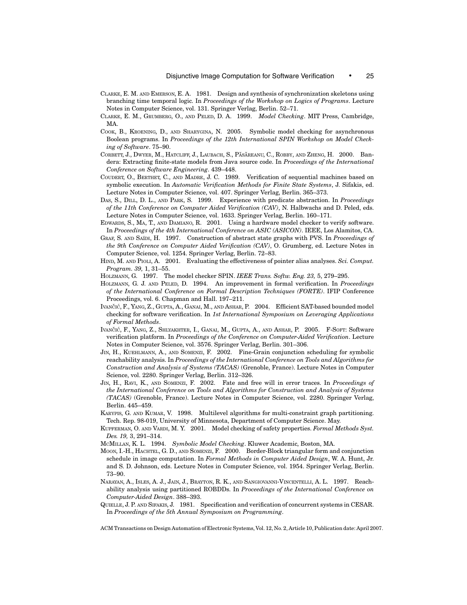- CLARKE, E. M. AND EMERSON, E. A. 1981. Design and synthesis of synchronization skeletons using branching time temporal logic. In *Proceedings of the Workshop on Logics of Programs*. Lecture Notes in Computer Science, vol. 131. Springer Verlag, Berlin. 52–71.
- CLARKE, E. M., GRUMBERG, O., AND PELED, D. A. 1999. *Model Checking*. MIT Press, Cambridge, MA.
- COOK, B., KROENING, D., AND SHARYGINA, N. 2005. Symbolic model checking for asynchronous Boolean programs. In *Proceedings of the 12th International SPIN Workshop on Model Checking of Software*. 75–90.
- CORBETT, J., DWYER, M., HATCLIFF, J., LAUBACH, S., PĂSĂREANU, C., ROBBY, AND ZHENG, H. 2000. Bandera: Extracting finite-state models from Java source code. In *Proceedings of the International Conference on Software Engineering*. 439–448.
- COUDERT, O., BERTHET, C., AND MADRE, J. C. 1989. Verification of sequential machines based on symbolic execution. In *Automatic Verification Methods for Finite State Systems*, J. Sifakis, ed. Lecture Notes in Computer Science, vol. 407. Springer Verlag, Berlin. 365–373.
- DAS, S., DILL, D. L., AND PARK, S. 1999. Experience with predicate abstraction. In *Proceedings of the 11th Conference on Computer Aided Verification (CAV)*, N. Halbwachs and D. Peled, eds. Lecture Notes in Computer Science, vol. 1633. Springer Verlag, Berlin. 160–171.
- EDWARDS, S., MA, T., AND DAMIANO, R. 2001. Using a hardware model checker to verify software. In *Proceedings of the 4th International Conference on ASIC (ASICON)*. IEEE, Los Alamitos, CA.
- GRAF, S. AND SA¨ıDI, H. 1997. Construction of abstract state graphs with PVS. In *Proceedings of the 9th Conference on Computer Aided Verification (CAV)*, O. Grumberg, ed. Lecture Notes in Computer Science, vol. 1254. Springer Verlag, Berlin. 72–83.
- HIND, M. AND PIOLI, A. 2001. Evaluating the effectiveness of pointer alias analyses. *Sci. Comput. Program. 39,* 1, 31–55.
- HOLZMANN, G. 1997. The model checker SPIN. *IEEE Trans. Softw. Eng. 23,* 5, 279–295.
- HOLZMANN, G. J. AND PELED, D. 1994. An improvement in formal verification. In *Proceedings of the International Conference on Formal Description Techniques (FORTE)*. IFIP Conference Proceedings, vol. 6. Chapman and Hall. 197–211.
- IVANČIĆ, F., YANG, Z., GUPTA, A., GANAI, M., AND ASHAR, P. 2004. Efficient SAT-based bounded model checking for software verification. In *1st International Symposium on Leveraging Applications of Formal Methods*.
- IVANČIĆ, F., YANG, Z., SHLYAKHTER, I., GANAI, M., GUPTA, A., AND ASHAR, P. 2005. F-SOFT: Software verification platform. In *Proceedings of the Conference on Computer-Aided Verification*. Lecture Notes in Computer Science, vol. 3576. Springer Verlag, Berlin. 301–306.
- JIN, H., KUEHLMANN, A., AND SOMENZI, F. 2002. Fine-Grain conjunction scheduling for symbolic reachability analysis. In *Proceedings of the International Conference on Tools and Algorithms for Construction and Analysis of Systems (TACAS)* (Grenoble, France). Lecture Notes in Computer Science, vol. 2280. Springer Verlag, Berlin. 312–326.
- JIN, H., RAVI, K., AND SOMENZI, F. 2002. Fate and free will in error traces. In *Proceedings of the International Conference on Tools and Algorithms for Construction and Analysis of Systems (TACAS)* (Grenoble, France). Lecture Notes in Computer Science, vol. 2280. Springer Verlag, Berlin. 445–459.
- KARYPIS, G. AND KUMAR, V. 1998. Multilevel algorithms for multi-constraint graph partitioning. Tech. Rep. 98-019, University of Minnesota, Department of Computer Science. May.
- KUPFERMAN, O. AND VARDI, M. Y. 2001. Model checking of safety properties. *Formal Methods Syst. Des. 19,* 3, 291–314.
- MCMILLAN, K. L. 1994. *Symbolic Model Checking*. Kluwer Academic, Boston, MA.
- MOON, I.-H., HACHTEL, G. D., AND SOMENZI, F. 2000. Border-Block triangular form and conjunction schedule in image computation. In *Formal Methods in Computer Aided Design*, W. A. Hunt, Jr. and S. D. Johnson, eds. Lecture Notes in Computer Science, vol. 1954. Springer Verlag, Berlin. 73–90.
- NARAYAN, A., ISLES, A. J., JAIN, J., BRAYTON, R. K., AND SANGIOVANNI-VINCENTELLI, A. L. 1997. Reachability analysis using partitioned ROBDDs. In *Proceedings of the International Conference on Computer-Aided Design*. 388–393.
- QUIELLE, J. P. AND SIFAKIS, J. 1981. Specification and verification of concurrent systems in CESAR. In *Proceedings of the 5th Annual Symposium on Programming*.